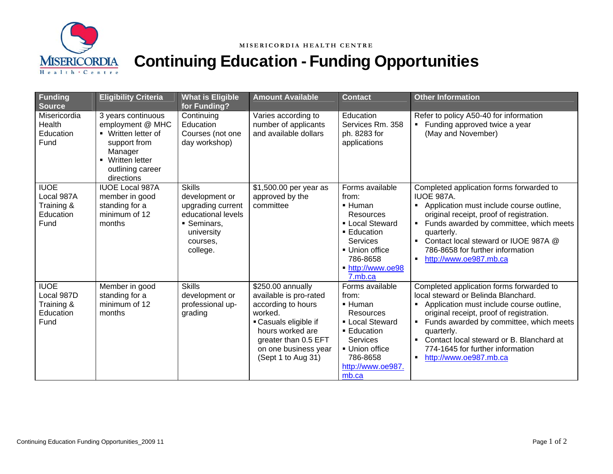

## Continuing Education - Funding Opportunities

| <b>Funding</b><br><b>Source</b>                              | <b>Eligibility Criteria</b>                                                                                                                    | <b>What is Eligible</b><br>for Funding?                                                                                         | <b>Amount Available</b>                                                                                                                                                                         | <b>Contact</b>                                                                                                                                                                        | <b>Other Information</b>                                                                                                                                                                                                                                                                                                                                                            |
|--------------------------------------------------------------|------------------------------------------------------------------------------------------------------------------------------------------------|---------------------------------------------------------------------------------------------------------------------------------|-------------------------------------------------------------------------------------------------------------------------------------------------------------------------------------------------|---------------------------------------------------------------------------------------------------------------------------------------------------------------------------------------|-------------------------------------------------------------------------------------------------------------------------------------------------------------------------------------------------------------------------------------------------------------------------------------------------------------------------------------------------------------------------------------|
| Misericordia<br>Health<br>Education<br>Fund                  | 3 years continuous<br>employment @ MHC<br>• Written letter of<br>support from<br>Manager<br>• Written letter<br>outlining career<br>directions | Continuing<br>Education<br>Courses (not one<br>day workshop)                                                                    | Varies according to<br>number of applicants<br>and available dollars                                                                                                                            | Education<br>Services Rm. 358<br>ph. 8283 for<br>applications                                                                                                                         | Refer to policy A50-40 for information<br>Funding approved twice a year<br>$\blacksquare$<br>(May and November)                                                                                                                                                                                                                                                                     |
| <b>IUOE</b><br>Local 987A<br>Training &<br>Education<br>Fund | <b>IUOE Local 987A</b><br>member in good<br>standing for a<br>minimum of 12<br>months                                                          | <b>Skills</b><br>development or<br>upgrading current<br>educational levels<br>• Seminars,<br>university<br>courses.<br>college. | \$1,500.00 per year as<br>approved by the<br>committee                                                                                                                                          | Forms available<br>from:<br>■ Human<br>Resources<br><b>- Local Steward</b><br>■ Education<br>Services<br>• Union office<br>786-8658<br>http://www.oe98<br>7.mb.ca                     | Completed application forms forwarded to<br>IUOE 987A.<br>Application must include course outline,<br>٠<br>original receipt, proof of registration.<br>Funds awarded by committee, which meets<br>$\blacksquare$<br>quarterly.<br>Contact local steward or IUOE 987A @<br>786-8658 for further information<br>http://www.oe987.mb.ca<br>$\blacksquare$                              |
| <b>IUOE</b><br>Local 987D<br>Training &<br>Education<br>Fund | Member in good<br>standing for a<br>minimum of 12<br>months                                                                                    | <b>Skills</b><br>development or<br>professional up-<br>grading                                                                  | \$250.00 annually<br>available is pro-rated<br>according to hours<br>worked.<br>• Casuals eligible if<br>hours worked are<br>greater than 0.5 EFT<br>on one business year<br>(Sept 1 to Aug 31) | Forms available<br>from:<br>$\blacksquare$ Human<br><b>Resources</b><br><b>- Local Steward</b><br>■ Education<br>Services<br>• Union office<br>786-8658<br>http://www.oe987.<br>mb.ca | Completed application forms forwarded to<br>local steward or Belinda Blanchard.<br>Application must include course outline,<br>٠<br>original receipt, proof of registration.<br>Funds awarded by committee, which meets<br>$\blacksquare$<br>quarterly.<br>Contact local steward or B. Blanchard at<br>$\blacksquare$<br>774-1645 for further information<br>http://www.oe987.mb.ca |